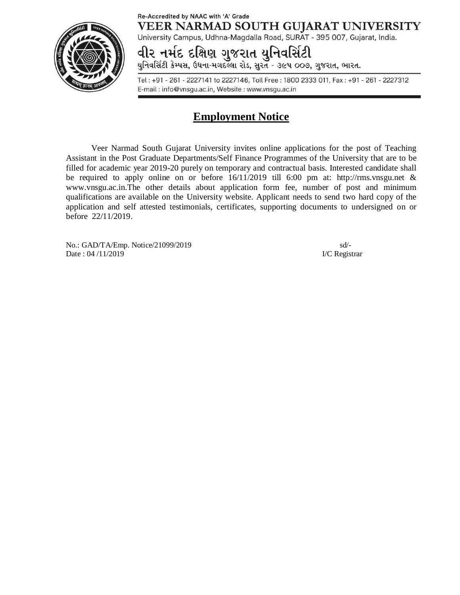### Re-Accredited by NAAC with 'A' Grade VEER NARMAD SOUTH GUJARAT UNIVERSITY



University Campus, Udhna-Magdalla Road, SURAT - 395 007, Gujarat, India.

વીર નર્મદ દક્ષિણ ગુજરાત યુનિવર્સિટી

યુનિવર્સિટી કેમ્પસ, ઉધના-મગદલ્લા રોડ, સુરત - ૩૯૫ ૦૦૭, ગુજરાત, ભારત.

Tel: +91 - 261 - 2227141 to 2227146, Toll Free: 1800 2333 011, Fax: +91 - 261 - 2227312 E-mail: info@vnsgu.ac.in, Website: www.vnsgu.ac.in

# **Employment Notice**

Veer Narmad South Gujarat University invites online applications for the post of Teaching Assistant in the Post Graduate Departments/Self Finance Programmes of the University that are to be filled for academic year 2019-20 purely on temporary and contractual basis. Interested candidate shall be required to apply online on or before 16/11/2019 till 6:00 pm at: <http://rms.vnsgu.net> & [www.vnsgu.ac.in.The](http://www.vnsgu.ac.in.The) other details about application form fee, number of post and minimum qualifications are available on the University website. Applicant needs to send two hard copy of the application and self attested testimonials, certificates, supporting documents to undersigned on or before 22/11/2019.

No.: GAD/TA/Emp. Notice/21099/2019 sd/- Date : 04/11/2019 I/C Registrar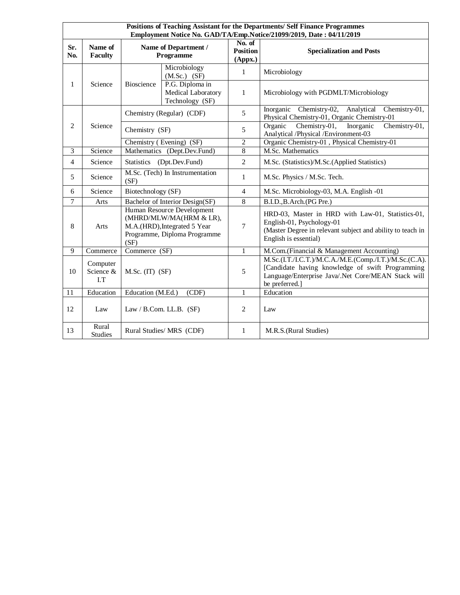| Positions of Teaching Assistant for the Departments/ Self Finance Programmes<br>Employment Notice No. GAD/TA/Emp.Notice/21099/2019, Date: 04/11/2019 |                             |                                                                                                                               |                                                          |                                      |                                                                                                                                                                                    |
|------------------------------------------------------------------------------------------------------------------------------------------------------|-----------------------------|-------------------------------------------------------------------------------------------------------------------------------|----------------------------------------------------------|--------------------------------------|------------------------------------------------------------------------------------------------------------------------------------------------------------------------------------|
| Sr.<br>No.                                                                                                                                           | Name of<br><b>Faculty</b>   | Name of Department /<br>Programme                                                                                             |                                                          | No. of<br><b>Position</b><br>(Appx.) | <b>Specialization and Posts</b>                                                                                                                                                    |
| 1                                                                                                                                                    | Science                     | Bioscience                                                                                                                    | Microbiology<br>$(M.Sc.)$ $(SF)$                         | $\mathbf{1}$                         | Microbiology                                                                                                                                                                       |
|                                                                                                                                                      |                             |                                                                                                                               | P.G. Diploma in<br>Medical Laboratory<br>Technology (SF) | 1                                    | Microbiology with PGDMLT/Microbiology                                                                                                                                              |
| $\overline{c}$                                                                                                                                       | Science                     | Chemistry (Regular) (CDF)                                                                                                     |                                                          | 5                                    | Inorganic Chemistry-02,<br>Analytical<br>Chemistry-01,<br>Physical Chemistry-01, Organic Chemistry-01                                                                              |
|                                                                                                                                                      |                             | Chemistry (SF)                                                                                                                |                                                          | 5                                    | Chemistry-01,<br>Chemistry-01,<br>Organic<br>Inorganic<br>Analytical /Physical /Environment-03                                                                                     |
|                                                                                                                                                      |                             | Chemistry (Evening) (SF)                                                                                                      |                                                          | $\overline{2}$                       | Organic Chemistry-01, Physical Chemistry-01                                                                                                                                        |
| $\overline{3}$                                                                                                                                       | Science                     | Mathematics (Dept.Dev.Fund)                                                                                                   |                                                          | $\overline{8}$                       | M.Sc. Mathematics                                                                                                                                                                  |
| 4                                                                                                                                                    | Science                     | Statistics (Dpt.Dev.Fund)                                                                                                     |                                                          | $\overline{2}$                       | M.Sc. (Statistics)/M.Sc. (Applied Statistics)                                                                                                                                      |
| 5                                                                                                                                                    | Science                     | M.Sc. (Tech) In Instrumentation<br>(SF)                                                                                       |                                                          | $\mathbf{1}$                         | M.Sc. Physics / M.Sc. Tech.                                                                                                                                                        |
| 6                                                                                                                                                    | Science                     | Biotechnology (SF)                                                                                                            |                                                          | $\overline{4}$                       | M.Sc. Microbiology-03, M.A. English -01                                                                                                                                            |
| $\overline{7}$                                                                                                                                       | Arts                        | Bachelor of Interior Design(SF)                                                                                               |                                                          | 8                                    | B.I.D., B.Arch. (PG Pre.)                                                                                                                                                          |
| 8                                                                                                                                                    | Arts                        | Human Resource Development<br>(MHRD/MLW/MA(HRM & LR),<br>M.A.(HRD), Integrated 5 Year<br>Programme, Diploma Programme<br>(SF) |                                                          | $\overline{7}$                       | HRD-03, Master in HRD with Law-01, Statistics-01,<br>English-01, Psychology-01<br>(Master Degree in relevant subject and ability to teach in<br>English is essential)              |
| 9                                                                                                                                                    | Commerce                    | Commerce (SF)                                                                                                                 |                                                          | $\mathbf{1}$                         | M.Com.(Financial & Management Accounting)                                                                                                                                          |
| 10                                                                                                                                                   | Computer<br>Science &<br>LT | $M.Sc.$ (IT) $(SF)$                                                                                                           |                                                          | 5                                    | M.Sc.(I.T./I.C.T.)/M.C.A./M.E.(Comp./I.T.)/M.Sc.(C.A).<br>[Candidate having knowledge of swift Programming<br>Language/Enterprise Java/.Net Core/MEAN Stack will<br>be preferred.] |
| 11                                                                                                                                                   | Education                   | Education (M.Ed.)<br>(CDF)                                                                                                    |                                                          | 1                                    | Education                                                                                                                                                                          |
| 12                                                                                                                                                   | Law                         | Law / B.Com. LL.B. $(SF)$                                                                                                     |                                                          | $\overline{2}$                       | Law                                                                                                                                                                                |
| 13                                                                                                                                                   | Rural<br><b>Studies</b>     | Rural Studies/ MRS (CDF)                                                                                                      |                                                          | $\mathbf{1}$                         | M.R.S.(Rural Studies)                                                                                                                                                              |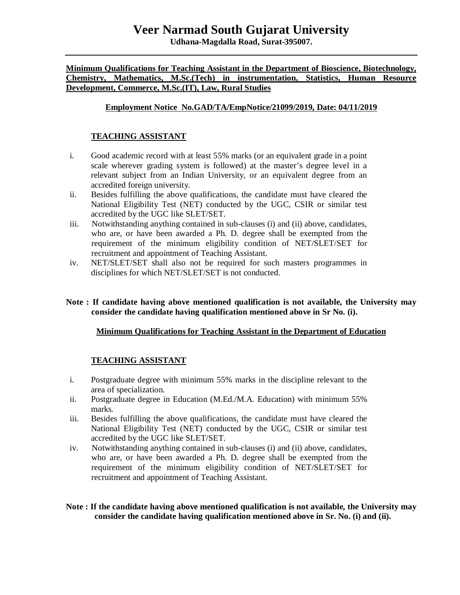## **Veer Narmad South Gujarat University**

**Udhana-Magdalla Road, Surat-395007.**

**Minimum Qualifications for Teaching Assistant in the Department of Bioscience, Biotechnology, Chemistry, Mathematics, M.Sc.(Tech) in instrumentation, Statistics, Human Resource Development, Commerce, M.Sc.(IT), Law, Rural Studies**

### **Employment Notice No.GAD/TA/EmpNotice/21099/2019, Date: 04/11/2019**

### **TEACHING ASSISTANT**

- i. Good academic record with at least 55% marks (or an equivalent grade in a point scale wherever grading system is followed) at the master's degree level in a relevant subject from an Indian University, or an equivalent degree from an accredited foreign university.
- ii. Besides fulfilling the above qualifications, the candidate must have cleared the National Eligibility Test (NET) conducted by the UGC, CSIR or similar test accredited by the UGC like SLET/SET.
- iii. Notwithstanding anything contained in sub-clauses (i) and (ii) above, candidates, who are, or have been awarded a Ph. D*.* degree shall be exempted from the requirement of the minimum eligibility condition of NET/SLET/SET for recruitment and appointment of Teaching Assistant.
- iv. NET/SLET/SET shall also not be required for such masters programmes in disciplines for which NET/SLET/SET is not conducted.

#### **Note : If candidate having above mentioned qualification is not available, the University may consider the candidate having qualification mentioned above in Sr No. (i).**

#### **Minimum Qualifications for Teaching Assistant in the Department of Education**

#### **TEACHING ASSISTANT**

- i. Postgraduate degree with minimum 55% marks in the discipline relevant to the area of specialization.
- ii. Postgraduate degree in Education (M.Ed./M.A. Education) with minimum 55% marks.
- iii. Besides fulfilling the above qualifications, the candidate must have cleared the National Eligibility Test (NET) conducted by the UGC, CSIR or similar test accredited by the UGC like SLET/SET.
- iv. Notwithstanding anything contained in sub-clauses (i) and (ii) above, candidates, who are, or have been awarded a Ph. D*.* degree shall be exempted from the requirement of the minimum eligibility condition of NET/SLET/SET for recruitment and appointment of Teaching Assistant.

#### **Note : If the candidate having above mentioned qualification is not available, the University may consider the candidate having qualification mentioned above in Sr. No. (i) and (ii).**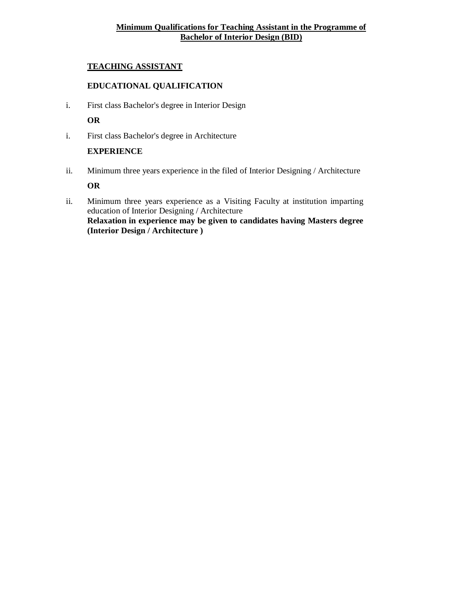## **Minimum Qualifications for Teaching Assistant in the Programme of Bachelor of Interior Design (BID)**

### **TEACHING ASSISTANT**

### **EDUCATIONAL QUALIFICATION**

i. First class Bachelor's degree in Interior Design

## **OR**

i. First class Bachelor's degree in Architecture

#### **EXPERIENCE**

ii. Minimum three years experience in the filed of Interior Designing / Architecture

## **OR**

ii. Minimum three years experience as a Visiting Faculty at institution imparting education of Interior Designing / Architecture **Relaxation in experience may be given to candidates having Masters degree (Interior Design / Architecture )**